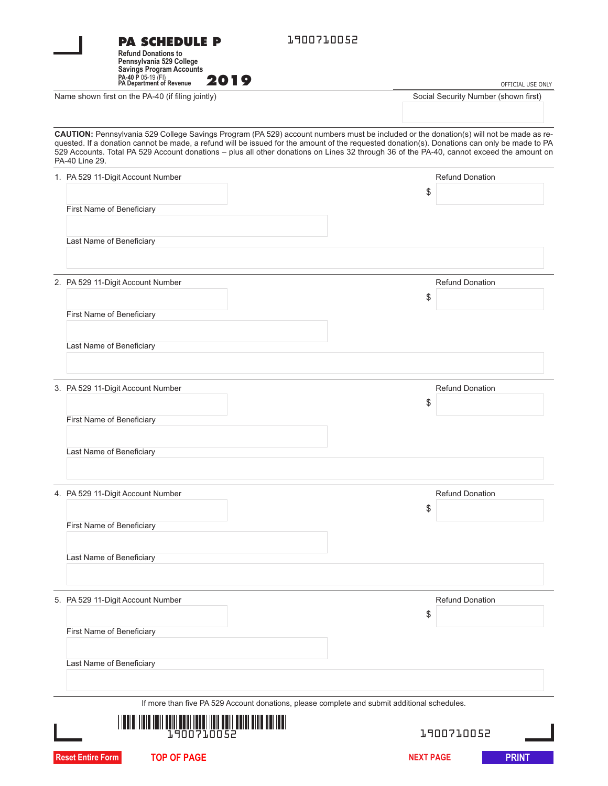|                                                   | <b>PA SCHEDULE P</b><br><b>Refund Donations to</b><br>Pennsylvania 529 College<br><b>Savings Program Accounts</b>                                                                                                                                                                                                                                                                                                                                    | 1900710052       |                                      |                   |  |
|---------------------------------------------------|------------------------------------------------------------------------------------------------------------------------------------------------------------------------------------------------------------------------------------------------------------------------------------------------------------------------------------------------------------------------------------------------------------------------------------------------------|------------------|--------------------------------------|-------------------|--|
|                                                   | PA-40 P 05-19 (FI)<br>PA Department of Revenue<br>2019                                                                                                                                                                                                                                                                                                                                                                                               |                  |                                      | OFFICIAL USE ONLY |  |
| Name shown first on the PA-40 (if filing jointly) |                                                                                                                                                                                                                                                                                                                                                                                                                                                      |                  | Social Security Number (shown first) |                   |  |
|                                                   | CAUTION: Pennsylvania 529 College Savings Program (PA 529) account numbers must be included or the donation(s) will not be made as re-<br>quested. If a donation cannot be made, a refund will be issued for the amount of the requested donation(s). Donations can only be made to PA<br>529 Accounts. Total PA 529 Account donations - plus all other donations on Lines 32 through 36 of the PA-40, cannot exceed the amount on<br>PA-40 Line 29. |                  |                                      |                   |  |
|                                                   | 1. PA 529 11-Digit Account Number                                                                                                                                                                                                                                                                                                                                                                                                                    |                  | <b>Refund Donation</b>               |                   |  |
|                                                   |                                                                                                                                                                                                                                                                                                                                                                                                                                                      | \$               |                                      |                   |  |
|                                                   | First Name of Beneficiary                                                                                                                                                                                                                                                                                                                                                                                                                            |                  |                                      |                   |  |
|                                                   | Last Name of Beneficiary                                                                                                                                                                                                                                                                                                                                                                                                                             |                  |                                      |                   |  |
|                                                   | 2. PA 529 11-Digit Account Number                                                                                                                                                                                                                                                                                                                                                                                                                    |                  | <b>Refund Donation</b>               |                   |  |
|                                                   |                                                                                                                                                                                                                                                                                                                                                                                                                                                      | \$               |                                      |                   |  |
|                                                   | First Name of Beneficiary                                                                                                                                                                                                                                                                                                                                                                                                                            |                  |                                      |                   |  |
|                                                   | Last Name of Beneficiary                                                                                                                                                                                                                                                                                                                                                                                                                             |                  |                                      |                   |  |
|                                                   | 3. PA 529 11-Digit Account Number                                                                                                                                                                                                                                                                                                                                                                                                                    | \$               | <b>Refund Donation</b>               |                   |  |
|                                                   | First Name of Beneficiary                                                                                                                                                                                                                                                                                                                                                                                                                            |                  |                                      |                   |  |
|                                                   | Last Name of Beneficiary                                                                                                                                                                                                                                                                                                                                                                                                                             |                  |                                      |                   |  |
|                                                   | 4. PA 529 11-Digit Account Number                                                                                                                                                                                                                                                                                                                                                                                                                    | \$               | <b>Refund Donation</b>               |                   |  |
|                                                   | First Name of Beneficiary                                                                                                                                                                                                                                                                                                                                                                                                                            |                  |                                      |                   |  |
|                                                   | Last Name of Beneficiary                                                                                                                                                                                                                                                                                                                                                                                                                             |                  |                                      |                   |  |
|                                                   | 5. PA 529 11-Digit Account Number                                                                                                                                                                                                                                                                                                                                                                                                                    |                  | <b>Refund Donation</b>               |                   |  |
|                                                   | First Name of Beneficiary                                                                                                                                                                                                                                                                                                                                                                                                                            | \$               |                                      |                   |  |
|                                                   | Last Name of Beneficiary                                                                                                                                                                                                                                                                                                                                                                                                                             |                  |                                      |                   |  |
|                                                   | If more than five PA 529 Account donations, please complete and submit additional schedules.                                                                                                                                                                                                                                                                                                                                                         |                  |                                      |                   |  |
|                                                   | IIIII KUILDELLIIN KUILDELLIIN KUULDE<br>1.90071.0052                                                                                                                                                                                                                                                                                                                                                                                                 |                  | 1900710052                           |                   |  |
|                                                   | <b>Reset Entire Form</b><br><b>TOP OF PAGE</b>                                                                                                                                                                                                                                                                                                                                                                                                       | <b>NEXT PAGE</b> |                                      | <b>PRINT</b>      |  |